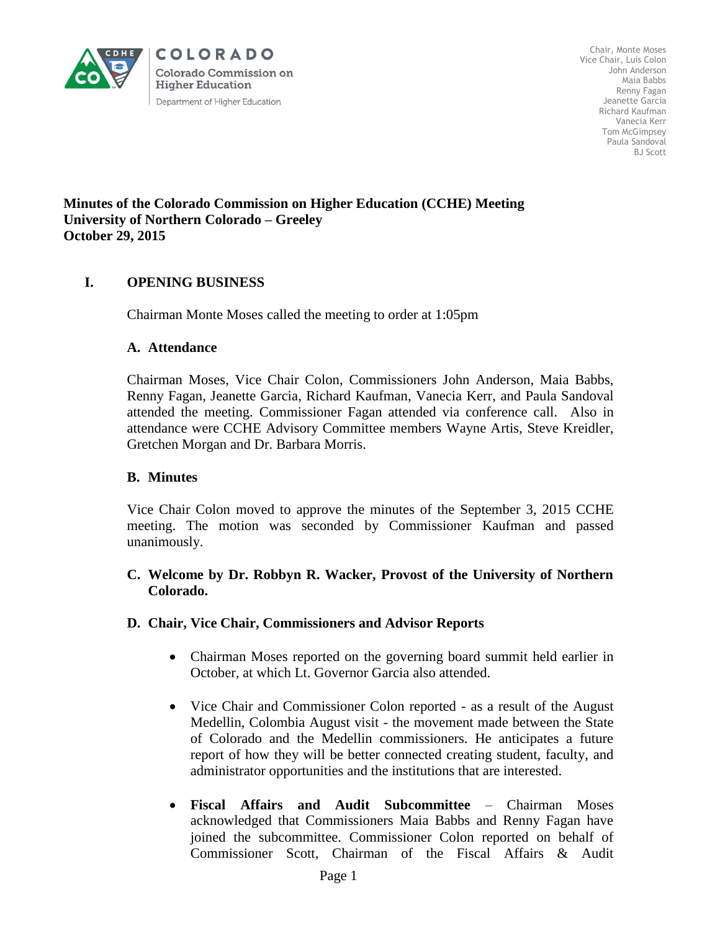

Chair, Monte Moses Vice Chair, Luis Colon John Anderson Maia Babbs Renny Fagan Jeanette Garcia Richard Kaufman Vanecia Kerr Tom McGimpsey Paula Sandoval BJ Scott

### **Minutes of the Colorado Commission on Higher Education (CCHE) Meeting University of Northern Colorado – Greeley October 29, 2015**

# **I. OPENING BUSINESS**

Chairman Monte Moses called the meeting to order at 1:05pm

### **A. Attendance**

Chairman Moses, Vice Chair Colon, Commissioners John Anderson, Maia Babbs, Renny Fagan, Jeanette Garcia, Richard Kaufman, Vanecia Kerr, and Paula Sandoval attended the meeting. Commissioner Fagan attended via conference call. Also in attendance were CCHE Advisory Committee members Wayne Artis, Steve Kreidler, Gretchen Morgan and Dr. Barbara Morris.

### **B. Minutes**

Vice Chair Colon moved to approve the minutes of the September 3, 2015 CCHE meeting. The motion was seconded by Commissioner Kaufman and passed unanimously.

## **C. Welcome by Dr. Robbyn R. Wacker, Provost of the University of Northern Colorado.**

### **D. Chair, Vice Chair, Commissioners and Advisor Reports**

- Chairman Moses reported on the governing board summit held earlier in October, at which Lt. Governor Garcia also attended.
- Vice Chair and Commissioner Colon reported as a result of the August Medellin, Colombia August visit - the movement made between the State of Colorado and the Medellin commissioners. He anticipates a future report of how they will be better connected creating student, faculty, and administrator opportunities and the institutions that are interested.
- **Fiscal Affairs and Audit Subcommittee** Chairman Moses acknowledged that Commissioners Maia Babbs and Renny Fagan have joined the subcommittee. Commissioner Colon reported on behalf of Commissioner Scott, Chairman of the Fiscal Affairs & Audit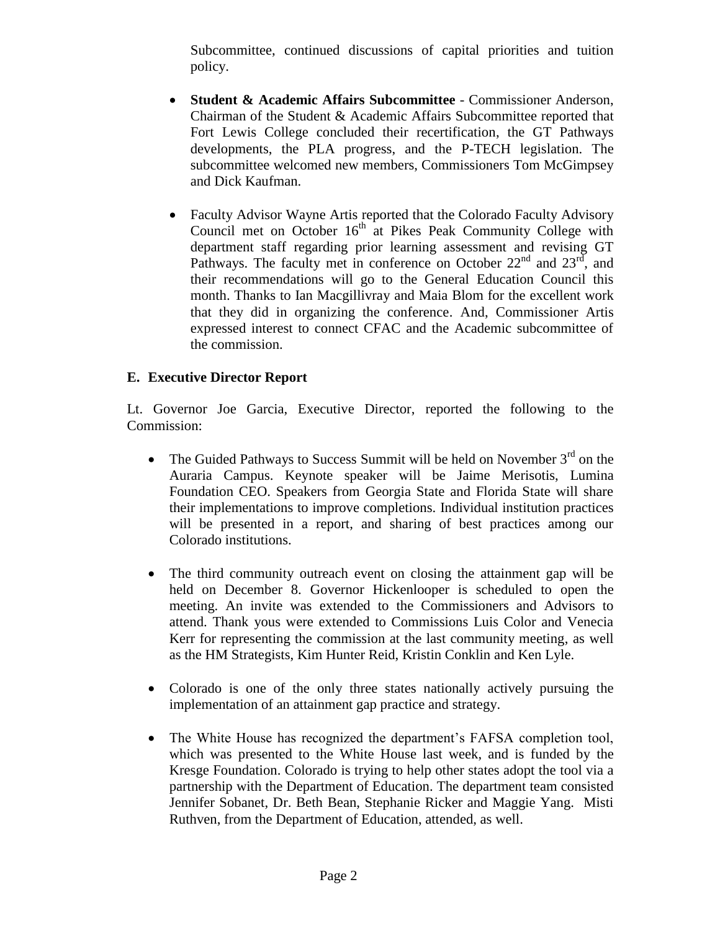Subcommittee, continued discussions of capital priorities and tuition policy.

- **Student & Academic Affairs Subcommittee** Commissioner Anderson, Chairman of the Student & Academic Affairs Subcommittee reported that Fort Lewis College concluded their recertification, the GT Pathways developments, the PLA progress, and the P-TECH legislation. The subcommittee welcomed new members, Commissioners Tom McGimpsey and Dick Kaufman.
- Faculty Advisor Wayne Artis reported that the Colorado Faculty Advisory Council met on October 16<sup>th</sup> at Pikes Peak Community College with department staff regarding prior learning assessment and revising GT Pathways. The faculty met in conference on October  $22<sup>nd</sup>$  and  $23<sup>rd</sup>$ , and their recommendations will go to the General Education Council this month. Thanks to Ian Macgillivray and Maia Blom for the excellent work that they did in organizing the conference. And, Commissioner Artis expressed interest to connect CFAC and the Academic subcommittee of the commission.

# **E. Executive Director Report**

Lt. Governor Joe Garcia, Executive Director, reported the following to the Commission:

- The Guided Pathways to Success Summit will be held on November  $3<sup>rd</sup>$  on the Auraria Campus. Keynote speaker will be Jaime Merisotis, Lumina Foundation CEO. Speakers from Georgia State and Florida State will share their implementations to improve completions. Individual institution practices will be presented in a report, and sharing of best practices among our Colorado institutions.
- The third community outreach event on closing the attainment gap will be held on December 8. Governor Hickenlooper is scheduled to open the meeting. An invite was extended to the Commissioners and Advisors to attend. Thank yous were extended to Commissions Luis Color and Venecia Kerr for representing the commission at the last community meeting, as well as the HM Strategists, Kim Hunter Reid, Kristin Conklin and Ken Lyle.
- Colorado is one of the only three states nationally actively pursuing the implementation of an attainment gap practice and strategy.
- The White House has recognized the department's FAFSA completion tool, which was presented to the White House last week, and is funded by the Kresge Foundation. Colorado is trying to help other states adopt the tool via a partnership with the Department of Education. The department team consisted Jennifer Sobanet, Dr. Beth Bean, Stephanie Ricker and Maggie Yang. Misti Ruthven, from the Department of Education, attended, as well.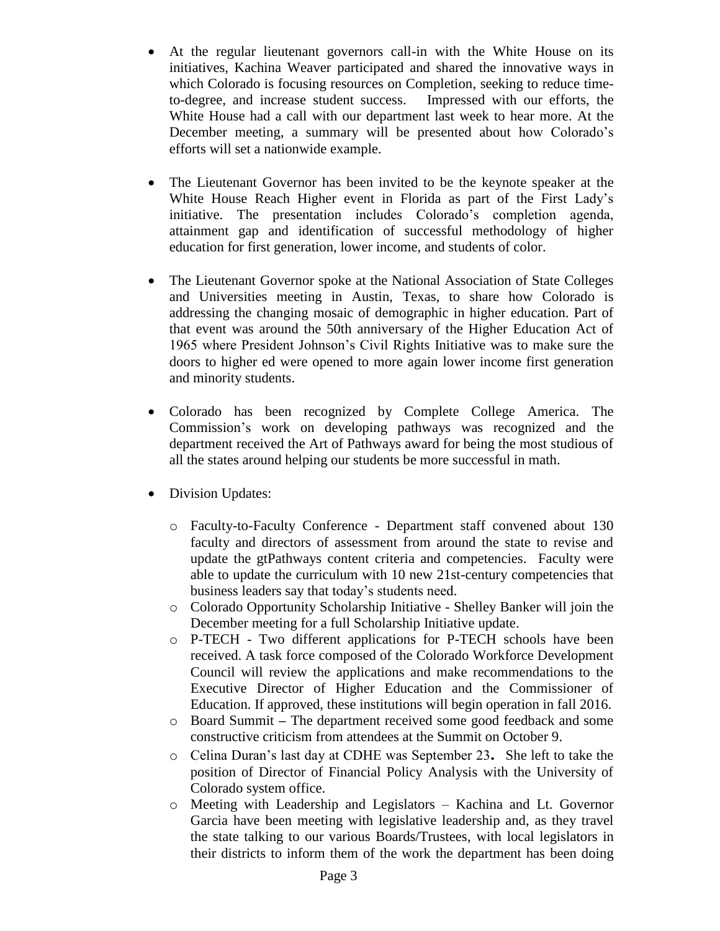- At the regular lieutenant governors call-in with the White House on its initiatives, Kachina Weaver participated and shared the innovative ways in which Colorado is focusing resources on Completion, seeking to reduce timeto-degree, and increase student success. Impressed with our efforts, the White House had a call with our department last week to hear more. At the December meeting, a summary will be presented about how Colorado's efforts will set a nationwide example.
- The Lieutenant Governor has been invited to be the keynote speaker at the White House Reach Higher event in Florida as part of the First Lady's initiative. The presentation includes Colorado's completion agenda, attainment gap and identification of successful methodology of higher education for first generation, lower income, and students of color.
- The Lieutenant Governor spoke at the National Association of State Colleges and Universities meeting in Austin, Texas, to share how Colorado is addressing the changing mosaic of demographic in higher education. Part of that event was around the 50th anniversary of the Higher Education Act of 1965 where President Johnson's Civil Rights Initiative was to make sure the doors to higher ed were opened to more again lower income first generation and minority students.
- Colorado has been recognized by Complete College America. The Commission's work on developing pathways was recognized and the department received the Art of Pathways award for being the most studious of all the states around helping our students be more successful in math.
- Division Updates:
	- o Faculty-to-Faculty Conference Department staff convened about 130 faculty and directors of assessment from around the state to revise and update the gtPathways content criteria and competencies. Faculty were able to update the curriculum with 10 new 21st-century competencies that business leaders say that today's students need.
	- o Colorado Opportunity Scholarship Initiative Shelley Banker will join the December meeting for a full Scholarship Initiative update.
	- o P-TECH Two different applications for P-TECH schools have been received. A task force composed of the Colorado Workforce Development Council will review the applications and make recommendations to the Executive Director of Higher Education and the Commissioner of Education. If approved, these institutions will begin operation in fall 2016.
	- o Board Summit **–** The department received some good feedback and some constructive criticism from attendees at the Summit on October 9.
	- o Celina Duran's last day at CDHE was September 23**.** She left to take the position of Director of Financial Policy Analysis with the University of Colorado system office.
	- o Meeting with Leadership and Legislators Kachina and Lt. Governor Garcia have been meeting with legislative leadership and, as they travel the state talking to our various Boards/Trustees, with local legislators in their districts to inform them of the work the department has been doing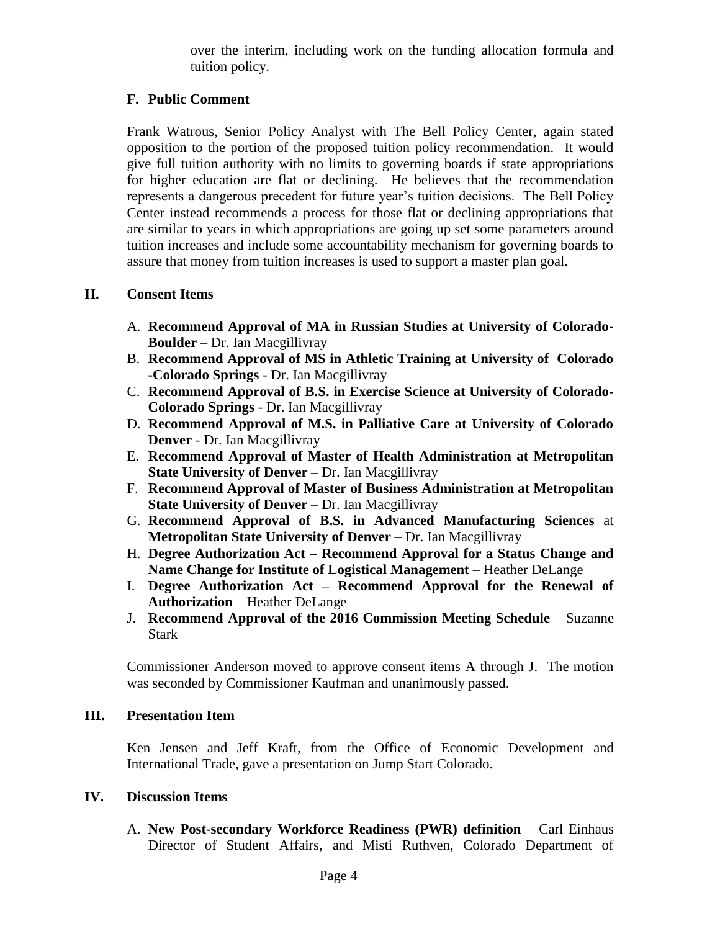over the interim, including work on the funding allocation formula and tuition policy.

## **F. Public Comment**

Frank Watrous, Senior Policy Analyst with The Bell Policy Center, again stated opposition to the portion of the proposed tuition policy recommendation. It would give full tuition authority with no limits to governing boards if state appropriations for higher education are flat or declining. He believes that the recommendation represents a dangerous precedent for future year's tuition decisions. The Bell Policy Center instead recommends a process for those flat or declining appropriations that are similar to years in which appropriations are going up set some parameters around tuition increases and include some accountability mechanism for governing boards to assure that money from tuition increases is used to support a master plan goal.

### **II. Consent Items**

- A. **Recommend Approval of MA in Russian Studies at University of Colorado-Boulder** – Dr. Ian Macgillivray
- B. **Recommend Approval of MS in Athletic Training at University of Colorado -Colorado Springs** - Dr. Ian Macgillivray
- C. **Recommend Approval of B.S. in Exercise Science at University of Colorado-Colorado Springs** - Dr. Ian Macgillivray
- D. **Recommend Approval of M.S. in Palliative Care at University of Colorado Denver** - Dr. Ian Macgillivray
- E. **Recommend Approval of Master of Health Administration at Metropolitan State University of Denver** – Dr. Ian Macgillivray
- F. **Recommend Approval of Master of Business Administration at Metropolitan State University of Denver** – Dr. Ian Macgillivray
- G. **Recommend Approval of B.S. in Advanced Manufacturing Sciences** at **Metropolitan State University of Denver** – Dr. Ian Macgillivray
- H. **Degree Authorization Act – Recommend Approval for a Status Change and Name Change for Institute of Logistical Management** – Heather DeLange
- I. **Degree Authorization Act – Recommend Approval for the Renewal of Authorization** – Heather DeLange
- J. **Recommend Approval of the 2016 Commission Meeting Schedule** Suzanne Stark

 Commissioner Anderson moved to approve consent items A through J. The motion was seconded by Commissioner Kaufman and unanimously passed.

### **III. Presentation Item**

Ken Jensen and Jeff Kraft, from the Office of Economic Development and International Trade, gave a presentation on Jump Start Colorado.

### **IV. Discussion Items**

A. **New Post-secondary Workforce Readiness (PWR) definition** – Carl Einhaus Director of Student Affairs, and Misti Ruthven, Colorado Department of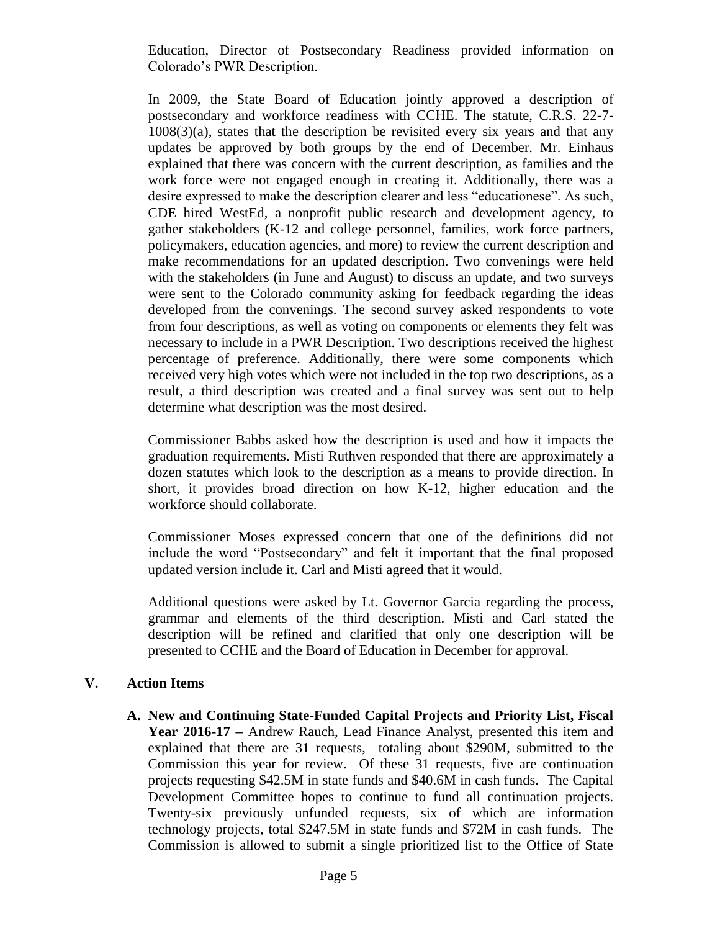Education, Director of Postsecondary Readiness provided information on Colorado's PWR Description.

In 2009, the State Board of Education jointly approved a description of postsecondary and workforce readiness with CCHE. The statute, C.R.S. 22-7-  $1008(3)(a)$ , states that the description be revisited every six years and that any updates be approved by both groups by the end of December. Mr. Einhaus explained that there was concern with the current description, as families and the work force were not engaged enough in creating it. Additionally, there was a desire expressed to make the description clearer and less "educationese". As such, CDE hired WestEd, a nonprofit public research and development agency, to gather stakeholders (K-12 and college personnel, families, work force partners, policymakers, education agencies, and more) to review the current description and make recommendations for an updated description. Two convenings were held with the stakeholders (in June and August) to discuss an update, and two surveys were sent to the Colorado community asking for feedback regarding the ideas developed from the convenings. The second survey asked respondents to vote from four descriptions, as well as voting on components or elements they felt was necessary to include in a PWR Description. Two descriptions received the highest percentage of preference. Additionally, there were some components which received very high votes which were not included in the top two descriptions, as a result, a third description was created and a final survey was sent out to help determine what description was the most desired.

Commissioner Babbs asked how the description is used and how it impacts the graduation requirements. Misti Ruthven responded that there are approximately a dozen statutes which look to the description as a means to provide direction. In short, it provides broad direction on how K-12, higher education and the workforce should collaborate.

Commissioner Moses expressed concern that one of the definitions did not include the word "Postsecondary" and felt it important that the final proposed updated version include it. Carl and Misti agreed that it would.

Additional questions were asked by Lt. Governor Garcia regarding the process, grammar and elements of the third description. Misti and Carl stated the description will be refined and clarified that only one description will be presented to CCHE and the Board of Education in December for approval.

## **V. Action Items**

**A. New and Continuing State-Funded Capital Projects and Priority List, Fiscal Year 2016-17 –** Andrew Rauch, Lead Finance Analyst, presented this item and explained that there are 31 requests, totaling about \$290M, submitted to the Commission this year for review. Of these 31 requests, five are continuation projects requesting \$42.5M in state funds and \$40.6M in cash funds. The Capital Development Committee hopes to continue to fund all continuation projects. Twenty-six previously unfunded requests, six of which are information technology projects, total \$247.5M in state funds and \$72M in cash funds. The Commission is allowed to submit a single prioritized list to the Office of State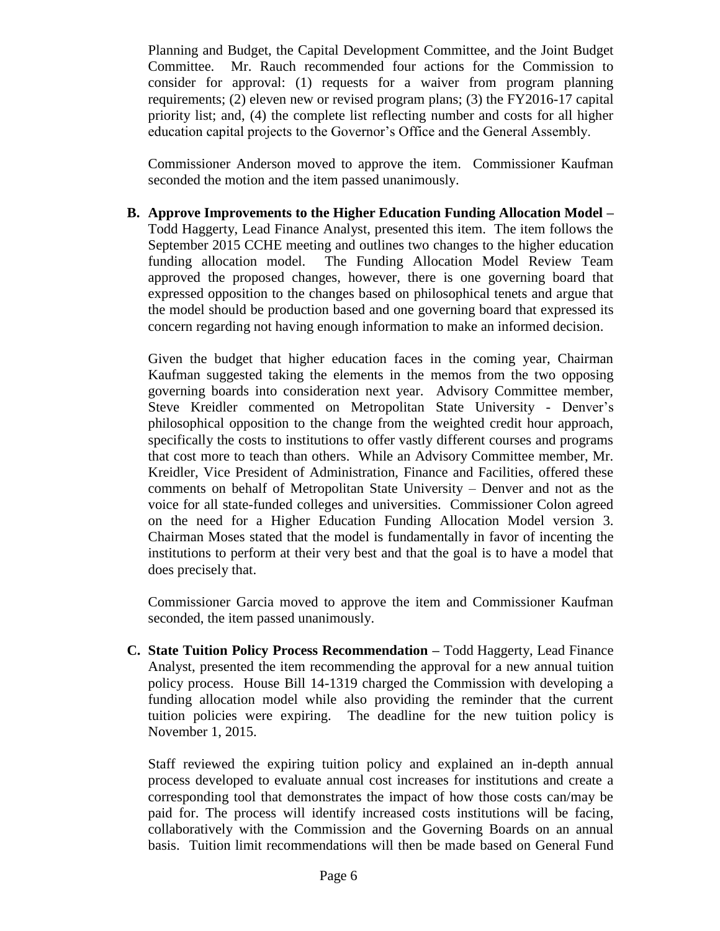Planning and Budget, the Capital Development Committee, and the Joint Budget Committee. Mr. Rauch recommended four actions for the Commission to consider for approval: (1) requests for a waiver from program planning requirements; (2) eleven new or revised program plans; (3) the FY2016-17 capital priority list; and, (4) the complete list reflecting number and costs for all higher education capital projects to the Governor's Office and the General Assembly.

Commissioner Anderson moved to approve the item. Commissioner Kaufman seconded the motion and the item passed unanimously.

**B. Approve Improvements to the Higher Education Funding Allocation Model –** Todd Haggerty, Lead Finance Analyst, presented this item. The item follows the September 2015 CCHE meeting and outlines two changes to the higher education funding allocation model. The Funding Allocation Model Review Team approved the proposed changes, however, there is one governing board that expressed opposition to the changes based on philosophical tenets and argue that the model should be production based and one governing board that expressed its concern regarding not having enough information to make an informed decision.

Given the budget that higher education faces in the coming year, Chairman Kaufman suggested taking the elements in the memos from the two opposing governing boards into consideration next year. Advisory Committee member, Steve Kreidler commented on Metropolitan State University - Denver's philosophical opposition to the change from the weighted credit hour approach, specifically the costs to institutions to offer vastly different courses and programs that cost more to teach than others. While an Advisory Committee member, Mr. Kreidler, Vice President of Administration, Finance and Facilities, offered these comments on behalf of Metropolitan State University – Denver and not as the voice for all state-funded colleges and universities. Commissioner Colon agreed on the need for a Higher Education Funding Allocation Model version 3. Chairman Moses stated that the model is fundamentally in favor of incenting the institutions to perform at their very best and that the goal is to have a model that does precisely that.

Commissioner Garcia moved to approve the item and Commissioner Kaufman seconded, the item passed unanimously.

**C. State Tuition Policy Process Recommendation –** Todd Haggerty, Lead Finance Analyst, presented the item recommending the approval for a new annual tuition policy process. House Bill 14-1319 charged the Commission with developing a funding allocation model while also providing the reminder that the current tuition policies were expiring. The deadline for the new tuition policy is November 1, 2015.

Staff reviewed the expiring tuition policy and explained an in-depth annual process developed to evaluate annual cost increases for institutions and create a corresponding tool that demonstrates the impact of how those costs can/may be paid for. The process will identify increased costs institutions will be facing, collaboratively with the Commission and the Governing Boards on an annual basis. Tuition limit recommendations will then be made based on General Fund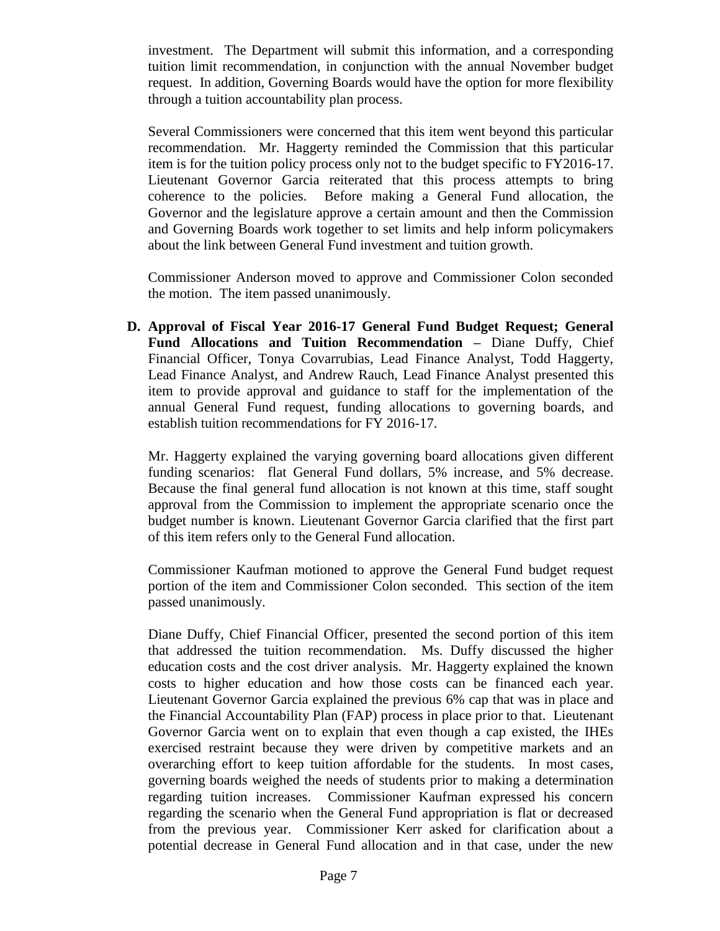investment. The Department will submit this information, and a corresponding tuition limit recommendation, in conjunction with the annual November budget request. In addition, Governing Boards would have the option for more flexibility through a tuition accountability plan process.

Several Commissioners were concerned that this item went beyond this particular recommendation. Mr. Haggerty reminded the Commission that this particular item is for the tuition policy process only not to the budget specific to FY2016-17. Lieutenant Governor Garcia reiterated that this process attempts to bring coherence to the policies. Before making a General Fund allocation, the Governor and the legislature approve a certain amount and then the Commission and Governing Boards work together to set limits and help inform policymakers about the link between General Fund investment and tuition growth.

Commissioner Anderson moved to approve and Commissioner Colon seconded the motion. The item passed unanimously.

**D. Approval of Fiscal Year 2016-17 General Fund Budget Request; General Fund Allocations and Tuition Recommendation –** Diane Duffy, Chief Financial Officer, Tonya Covarrubias, Lead Finance Analyst, Todd Haggerty, Lead Finance Analyst, and Andrew Rauch, Lead Finance Analyst presented this item to provide approval and guidance to staff for the implementation of the annual General Fund request, funding allocations to governing boards, and establish tuition recommendations for FY 2016-17.

Mr. Haggerty explained the varying governing board allocations given different funding scenarios: flat General Fund dollars, 5% increase, and 5% decrease. Because the final general fund allocation is not known at this time, staff sought approval from the Commission to implement the appropriate scenario once the budget number is known. Lieutenant Governor Garcia clarified that the first part of this item refers only to the General Fund allocation.

Commissioner Kaufman motioned to approve the General Fund budget request portion of the item and Commissioner Colon seconded. This section of the item passed unanimously.

Diane Duffy, Chief Financial Officer, presented the second portion of this item that addressed the tuition recommendation. Ms. Duffy discussed the higher education costs and the cost driver analysis. Mr. Haggerty explained the known costs to higher education and how those costs can be financed each year. Lieutenant Governor Garcia explained the previous 6% cap that was in place and the Financial Accountability Plan (FAP) process in place prior to that. Lieutenant Governor Garcia went on to explain that even though a cap existed, the IHEs exercised restraint because they were driven by competitive markets and an overarching effort to keep tuition affordable for the students. In most cases, governing boards weighed the needs of students prior to making a determination regarding tuition increases. Commissioner Kaufman expressed his concern regarding the scenario when the General Fund appropriation is flat or decreased from the previous year. Commissioner Kerr asked for clarification about a potential decrease in General Fund allocation and in that case, under the new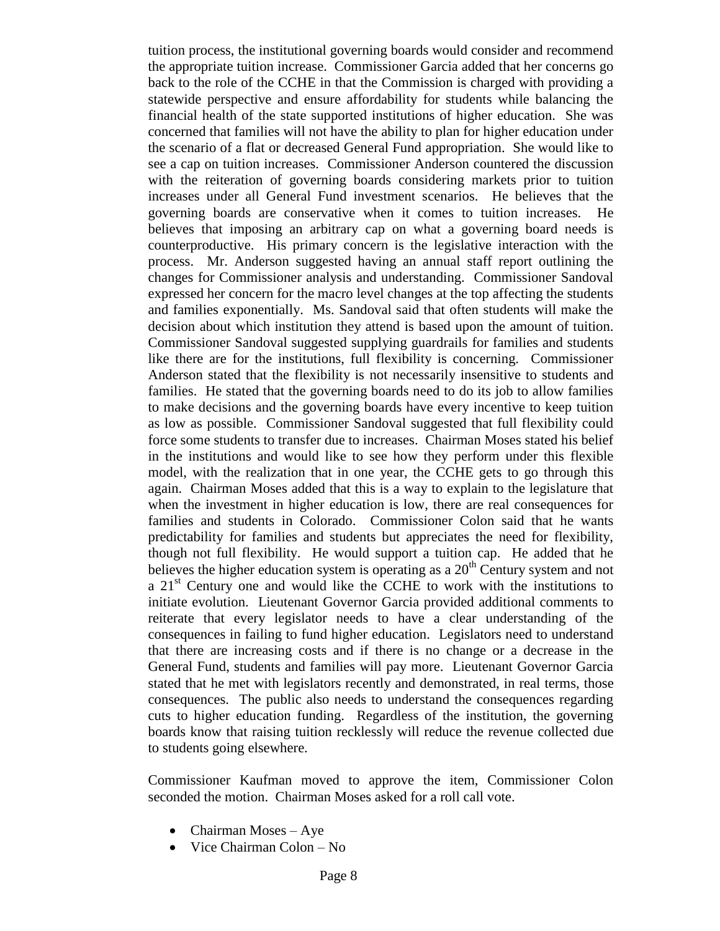tuition process, the institutional governing boards would consider and recommend the appropriate tuition increase. Commissioner Garcia added that her concerns go back to the role of the CCHE in that the Commission is charged with providing a statewide perspective and ensure affordability for students while balancing the financial health of the state supported institutions of higher education. She was concerned that families will not have the ability to plan for higher education under the scenario of a flat or decreased General Fund appropriation. She would like to see a cap on tuition increases. Commissioner Anderson countered the discussion with the reiteration of governing boards considering markets prior to tuition increases under all General Fund investment scenarios. He believes that the governing boards are conservative when it comes to tuition increases. He believes that imposing an arbitrary cap on what a governing board needs is counterproductive. His primary concern is the legislative interaction with the process. Mr. Anderson suggested having an annual staff report outlining the changes for Commissioner analysis and understanding. Commissioner Sandoval expressed her concern for the macro level changes at the top affecting the students and families exponentially. Ms. Sandoval said that often students will make the decision about which institution they attend is based upon the amount of tuition. Commissioner Sandoval suggested supplying guardrails for families and students like there are for the institutions, full flexibility is concerning. Commissioner Anderson stated that the flexibility is not necessarily insensitive to students and families. He stated that the governing boards need to do its job to allow families to make decisions and the governing boards have every incentive to keep tuition as low as possible. Commissioner Sandoval suggested that full flexibility could force some students to transfer due to increases. Chairman Moses stated his belief in the institutions and would like to see how they perform under this flexible model, with the realization that in one year, the CCHE gets to go through this again. Chairman Moses added that this is a way to explain to the legislature that when the investment in higher education is low, there are real consequences for families and students in Colorado. Commissioner Colon said that he wants predictability for families and students but appreciates the need for flexibility, though not full flexibility. He would support a tuition cap. He added that he believes the higher education system is operating as a  $20<sup>th</sup>$  Century system and not a  $21<sup>st</sup>$  Century one and would like the CCHE to work with the institutions to initiate evolution. Lieutenant Governor Garcia provided additional comments to reiterate that every legislator needs to have a clear understanding of the consequences in failing to fund higher education. Legislators need to understand that there are increasing costs and if there is no change or a decrease in the General Fund, students and families will pay more. Lieutenant Governor Garcia stated that he met with legislators recently and demonstrated, in real terms, those consequences. The public also needs to understand the consequences regarding cuts to higher education funding. Regardless of the institution, the governing boards know that raising tuition recklessly will reduce the revenue collected due to students going elsewhere.

Commissioner Kaufman moved to approve the item, Commissioner Colon seconded the motion. Chairman Moses asked for a roll call vote.

- Chairman Moses Aye
- Vice Chairman Colon No